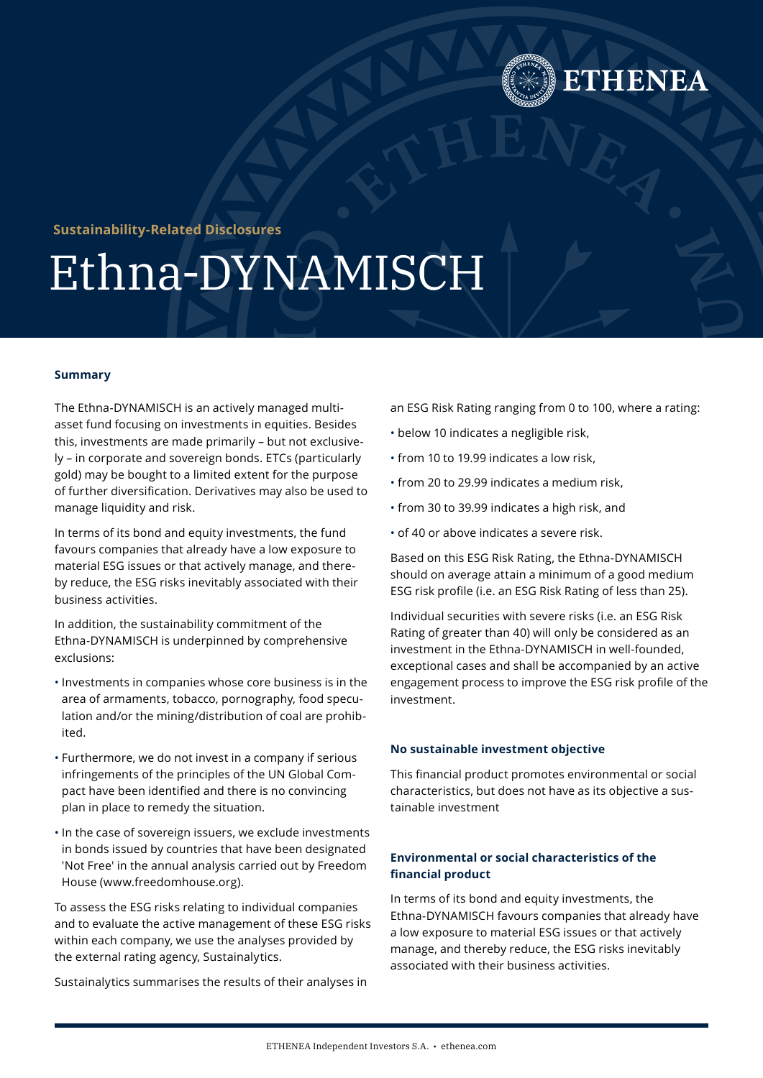

# **Sustainability-Related Disclosures**

# Ethna-DYNAMISCH

#### **Summary**

The Ethna-DYNAMISCH is an actively managed multiasset fund focusing on investments in equities. Besides this, investments are made primarily – but not exclusively – in corporate and sovereign bonds. ETCs (particularly gold) may be bought to a limited extent for the purpose of further diversification. Derivatives may also be used to manage liquidity and risk.

In terms of its bond and equity investments, the fund favours companies that already have a low exposure to material ESG issues or that actively manage, and thereby reduce, the ESG risks inevitably associated with their business activities.

In addition, the sustainability commitment of the Ethna-DYNAMISCH is underpinned by comprehensive exclusions:

- Investments in companies whose core business is in the area of armaments, tobacco, pornography, food speculation and/or the mining/distribution of coal are prohibited.
- Furthermore, we do not invest in a company if serious infringements of the principles of the UN Global Compact have been identified and there is no convincing plan in place to remedy the situation.
- In the case of sovereign issuers, we exclude investments in bonds issued by countries that have been designated 'Not Free' in the annual analysis carried out by Freedom House ([www.freedomhouse.org](https://freedomhouse.org/)).

To assess the ESG risks relating to individual companies and to evaluate the active management of these ESG risks within each company, we use the analyses provided by the external rating agency, Sustainalytics.

Sustainalytics summarises the results of their analyses in

an ESG Risk Rating ranging from 0 to 100, where a rating:

- below 10 indicates a negligible risk,
- from 10 to 19.99 indicates a low risk,
- from 20 to 29.99 indicates a medium risk,
- from 30 to 39.99 indicates a high risk, and
- of 40 or above indicates a severe risk.

Based on this ESG Risk Rating, the Ethna-DYNAMISCH should on average attain a minimum of a good medium ESG risk profile (i.e. an ESG Risk Rating of less than 25).

Individual securities with severe risks (i.e. an ESG Risk Rating of greater than 40) will only be considered as an investment in the Ethna-DYNAMISCH in well-founded, exceptional cases and shall be accompanied by an active engagement process to improve the ESG risk profile of the investment.

#### **No sustainable investment objective**

This financial product promotes environmental or social characteristics, but does not have as its objective a sustainable investment

# **Environmental or social characteristics of the financial product**

In terms of its bond and equity investments, the Ethna-DYNAMISCH favours companies that already have a low exposure to material ESG issues or that actively manage, and thereby reduce, the ESG risks inevitably associated with their business activities.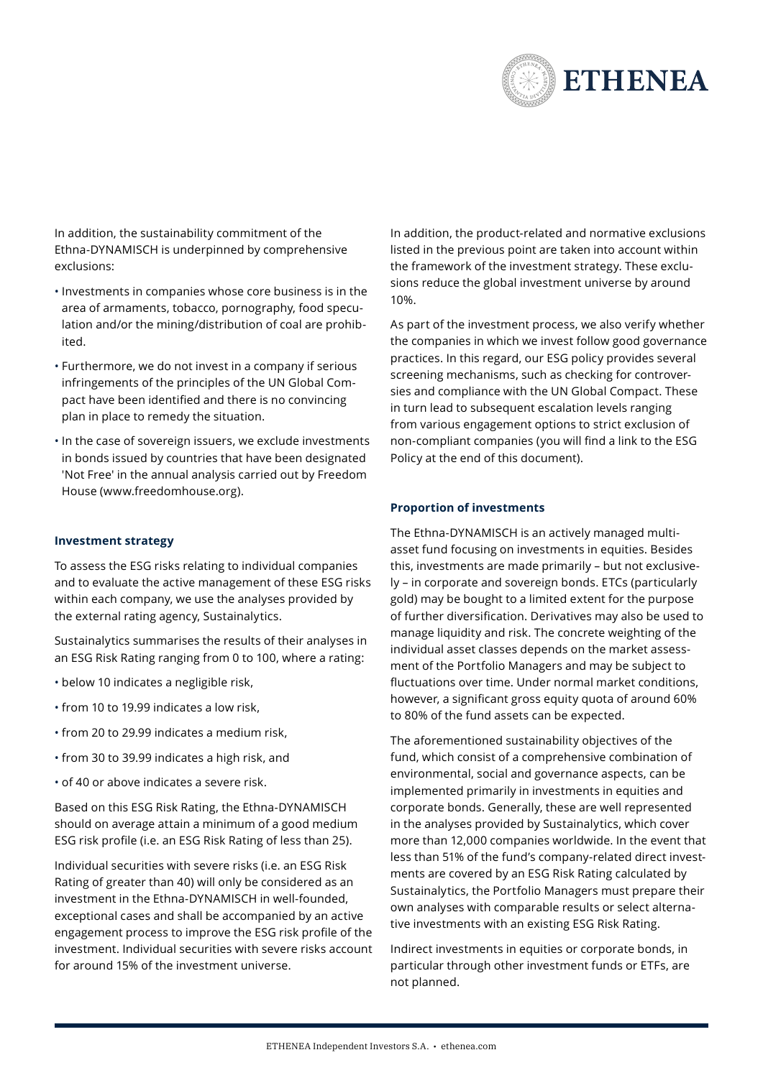

In addition, the sustainability commitment of the Ethna-DYNAMISCH is underpinned by comprehensive exclusions:

- Investments in companies whose core business is in the area of armaments, tobacco, pornography, food speculation and/or the mining/distribution of coal are prohibited.
- Furthermore, we do not invest in a company if serious infringements of the principles of the UN Global Compact have been identified and there is no convincing plan in place to remedy the situation.
- In the case of sovereign issuers, we exclude investments in bonds issued by countries that have been designated 'Not Free' in the annual analysis carried out by Freedom House ([www.freedomhouse.org](https://freedomhouse.org/)).

#### **Investment strategy**

To assess the ESG risks relating to individual companies and to evaluate the active management of these ESG risks within each company, we use the analyses provided by the external rating agency, Sustainalytics.

Sustainalytics summarises the results of their analyses in an ESG Risk Rating ranging from 0 to 100, where a rating:

- below 10 indicates a negligible risk,
- from 10 to 19.99 indicates a low risk,
- from 20 to 29.99 indicates a medium risk,
- from 30 to 39.99 indicates a high risk, and
- of 40 or above indicates a severe risk.

Based on this ESG Risk Rating, the Ethna-DYNAMISCH should on average attain a minimum of a good medium ESG risk profile (i.e. an ESG Risk Rating of less than 25).

Individual securities with severe risks (i.e. an ESG Risk Rating of greater than 40) will only be considered as an investment in the Ethna-DYNAMISCH in well-founded, exceptional cases and shall be accompanied by an active engagement process to improve the ESG risk profile of the investment. Individual securities with severe risks account for around 15% of the investment universe.

In addition, the product-related and normative exclusions listed in the previous point are taken into account within the framework of the investment strategy. These exclusions reduce the global investment universe by around 10%.

As part of the investment process, we also verify whether the companies in which we invest follow good governance practices. In this regard, our ESG policy provides several screening mechanisms, such as checking for controversies and compliance with the UN Global Compact. These in turn lead to subsequent escalation levels ranging from various engagement options to strict exclusion of non-compliant companies (you will find a link to the ESG Policy at the end of this document).

#### **Proportion of investments**

The Ethna-DYNAMISCH is an actively managed multiasset fund focusing on investments in equities. Besides this, investments are made primarily – but not exclusively – in corporate and sovereign bonds. ETCs (particularly gold) may be bought to a limited extent for the purpose of further diversification. Derivatives may also be used to manage liquidity and risk. The concrete weighting of the individual asset classes depends on the market assessment of the Portfolio Managers and may be subject to fluctuations over time. Under normal market conditions, however, a significant gross equity quota of around 60% to 80% of the fund assets can be expected.

The aforementioned sustainability objectives of the fund, which consist of a comprehensive combination of environmental, social and governance aspects, can be implemented primarily in investments in equities and corporate bonds. Generally, these are well represented in the analyses provided by Sustainalytics, which cover more than 12,000 companies worldwide. In the event that less than 51% of the fund's company-related direct investments are covered by an ESG Risk Rating calculated by Sustainalytics, the Portfolio Managers must prepare their own analyses with comparable results or select alternative investments with an existing ESG Risk Rating.

Indirect investments in equities or corporate bonds, in particular through other investment funds or ETFs, are not planned.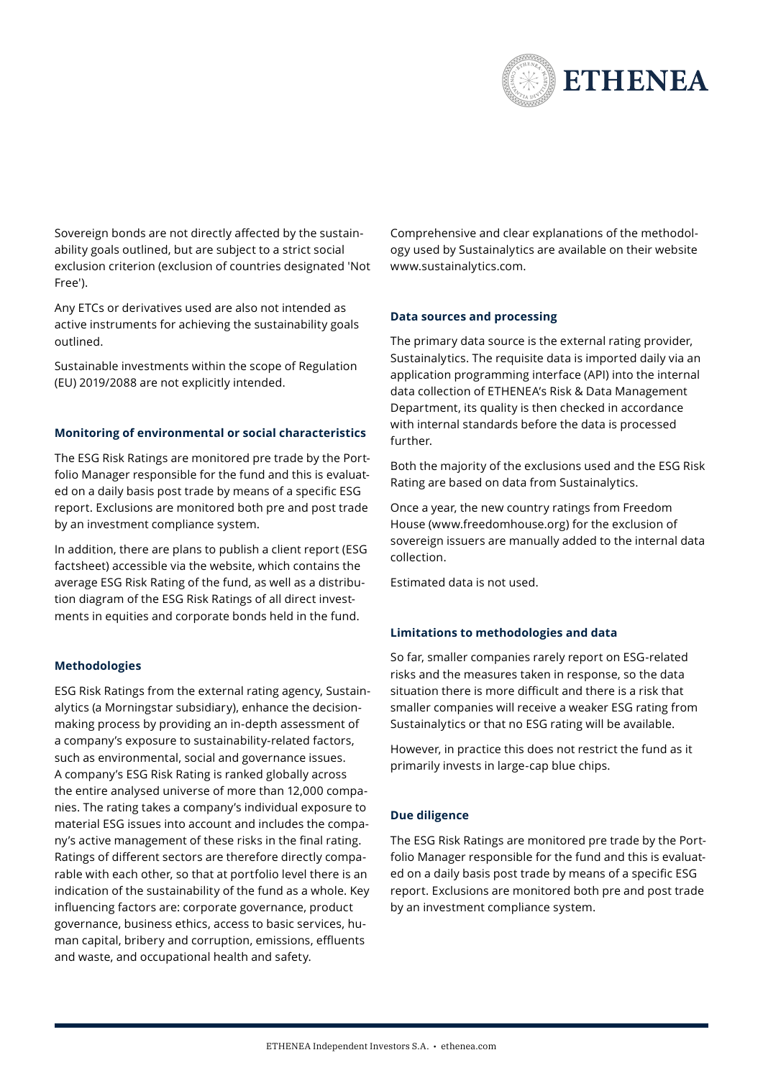

Sovereign bonds are not directly affected by the sustainability goals outlined, but are subject to a strict social exclusion criterion (exclusion of countries designated 'Not Free').

Any ETCs or derivatives used are also not intended as active instruments for achieving the sustainability goals outlined.

Sustainable investments within the scope of Regulation (EU) 2019/2088 are not explicitly intended.

### **Monitoring of environmental or social characteristics**

The ESG Risk Ratings are monitored pre trade by the Portfolio Manager responsible for the fund and this is evaluated on a daily basis post trade by means of a specific ESG report. Exclusions are monitored both pre and post trade by an investment compliance system.

In addition, there are plans to publish a client report (ESG factsheet) accessible via the website, which contains the average ESG Risk Rating of the fund, as well as a distribution diagram of the ESG Risk Ratings of all direct investments in equities and corporate bonds held in the fund.

# **Methodologies**

ESG Risk Ratings from the external rating agency, Sustainalytics (a Morningstar subsidiary), enhance the decisionmaking process by providing an in-depth assessment of a company's exposure to sustainability-related factors, such as environmental, social and governance issues. A company's ESG Risk Rating is ranked globally across the entire analysed universe of more than 12,000 companies. The rating takes a company's individual exposure to material ESG issues into account and includes the company's active management of these risks in the final rating. Ratings of different sectors are therefore directly comparable with each other, so that at portfolio level there is an indication of the sustainability of the fund as a whole. Key influencing factors are: corporate governance, product governance, business ethics, access to basic services, human capital, bribery and corruption, emissions, effluents and waste, and occupational health and safety.

Comprehensive and clear explanations of the methodology used by Sustainalytics are available on their website [www.sustainalytics.com](https://www.sustainalytics.com/).

# **Data sources and processing**

The primary data source is the external rating provider, Sustainalytics. The requisite data is imported daily via an application programming interface (API) into the internal data collection of ETHENEA's Risk & Data Management Department, its quality is then checked in accordance with internal standards before the data is processed further.

Both the majority of the exclusions used and the ESG Risk Rating are based on data from Sustainalytics.

Once a year, the new country ratings from Freedom House [\(www.freedomhouse.org\)](https://freedomhouse.org/) for the exclusion of sovereign issuers are manually added to the internal data collection.

Estimated data is not used.

# **Limitations to methodologies and data**

So far, smaller companies rarely report on ESG-related risks and the measures taken in response, so the data situation there is more difficult and there is a risk that smaller companies will receive a weaker ESG rating from Sustainalytics or that no ESG rating will be available.

However, in practice this does not restrict the fund as it primarily invests in large-cap blue chips.

### **Due diligence**

The ESG Risk Ratings are monitored pre trade by the Portfolio Manager responsible for the fund and this is evaluated on a daily basis post trade by means of a specific ESG report. Exclusions are monitored both pre and post trade by an investment compliance system.